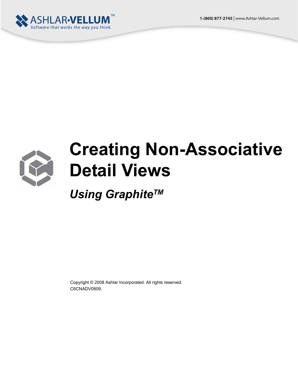



## **Creating Non-Associative Detail Views**

*Using GraphiteTM*

Copyright © 2008 Ashlar Incorporated. All rights reserved. C6CNADV0809.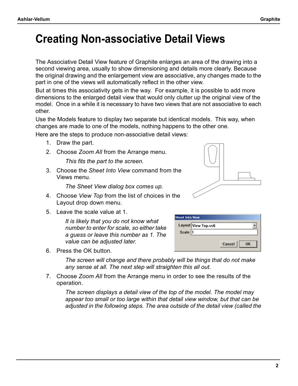## **Creating Non-associative Detail Views**

The Associative Detail View feature of Graphite enlarges an area of the drawing into a second viewing area, usually to show dimensioning and details more clearly. Because the original drawing and the enlargement view are associative, any changes made to the part in one of the views will automatically reflect in the other view.

But at times this associativity gets in the way. For example, it is possible to add more dimensions to the enlarged detail view that would only clutter up the original view of the model. Once in a while it is necessary to have two views that are not associative to each other.

Use the Models feature to display two separate but identical models. This way, when changes are made to one of the models, nothing happens to the other one.

Here are the steps to produce non-associative detail views:

- 1. Draw the part.
- 2. Choose *Zoom All* from the Arrange menu.

*This fits the part to the screen.*

3. Choose the *Sheet Into View* command from the Views menu.

*The Sheet View dialog box comes up.*

- 4. Choose *View Top* from the list of choices in the Layout drop down menu.
- 5. Leave the scale value at 1.

*It is likely that you do not know what number to enter for scale, so either take a guess or leave this number as 1. The value can be adjusted later.* 



| <b>Sheet Into View</b> |                     |              |  |
|------------------------|---------------------|--------------|--|
|                        | Layout View Top.vc6 |              |  |
| Scale 1                |                     |              |  |
|                        |                     |              |  |
|                        |                     | Cancel<br>OK |  |

6. Press the OK button.

*The screen will change and there probably will be things that do not make any sense at all. The next step will straighten this all out.*

7. Choose *Zoom All* from the Arrange menu in order to see the results of the operation.

*The screen displays a detail view of the top of the model. The model may appear too small or too large within that detail view window, but that can be adjusted in the following steps. The area outside of the detail view (called the*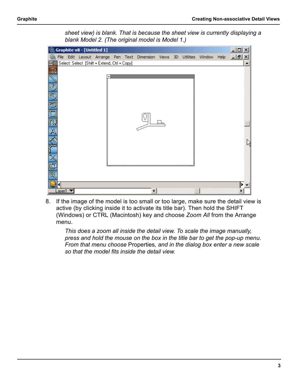

*sheet view) is blank. That is because the sheet view is currently displaying a blank Model 2. (The original model is Model 1.)* 

8. If the image of the model is too small or too large, make sure the detail view is active (by clicking inside it to activate its title bar). Then hold the SHIFT (Windows) or CTRL (Macintosh) key and choose *Zoom All* from the Arrange menu.

*This does a zoom all inside the detail view. To scale the image manually, press and hold the mouse on the box in the title bar to get the pop-up menu. From that menu choose* Properties*, and in the dialog box enter a new scale so that the model fits inside the detail view.*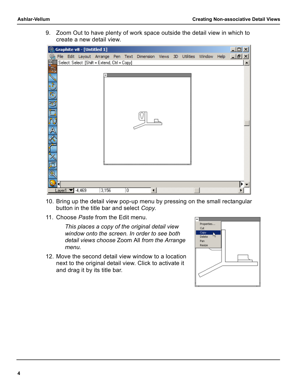9. Zoom Out to have plenty of work space outside the detail view in which to create a new detail view.



- 10. Bring up the detail view pop-up menu by pressing on the small rectangular button in the title bar and select *Copy*.
- 11. Choose *Paste* from the Edit menu.

*This places a copy of the original detail view window onto the screen. In order to see both detail views choose* Zoom All *from the Arrange menu.*

12. Move the second detail view window to a location next to the original detail view. Click to activate it and drag it by its title bar.

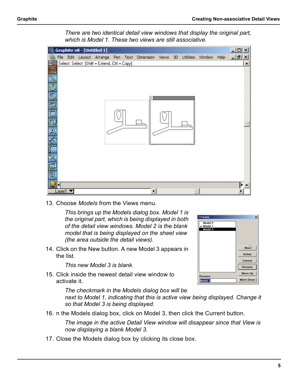*There are two identical detail view windows that display the original part, which is Model 1. These two views are still associative.*



13. Choose *Models* from the Views menu.

*This brings up the Models dialog box. Model 1 is the original part, which is being displayed in both of the detail view windows. Model 2 is the blank model that is being displayed on the sheet view (the area outside the detail views).* 

14. Click on the New button. A new Model 3 appears in the list.

*This new Model 3 is blank.* 

15. Click inside the newest detail view window to activate it.

*The checkmark in the Models dialog box will be* 

next to Model 1, indicating that this is active view being displayed. Change it *so that Model 3 is being displayed.*

16. n the Models dialog box, click on Model 3, then click the Current button.

*The image in the active Detail View window will disappear since that View is now displaying a blank Model 3.*

17. Close the Models dialog box by clicking its close box.

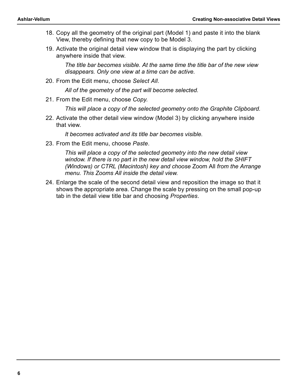- 18. Copy all the geometry of the original part (Model 1) and paste it into the blank View, thereby defining that new copy to be Model 3.
- 19. Activate the original detail view window that is displaying the part by clicking anywhere inside that view.

*The title bar becomes visible. At the same time the title bar of the new view disappears. Only one view at a time can be active.*

20. From the Edit menu, choose *Select All*.

*All of the geometry of the part will become selected.*

21. From the Edit menu, choose *Copy*.

*This will place a copy of the selected geometry onto the Graphite Clipboard.*

22. Activate the other detail view window (Model 3) by clicking anywhere inside that view.

*It becomes activated and its title bar becomes visible.*

23. From the Edit menu, choose *Paste*.

*This will place a copy of the selected geometry into the new detail view window. If there is no part in the new detail view window, hold the SHIFT (Windows) or CTRL (Macintosh) key and choose* Zoom All *from the Arrange menu. This Zooms All inside the detail view.*

24. Enlarge the scale of the second detail view and reposition the image so that it shows the appropriate area. Change the scale by pressing on the small pop-up tab in the detail view title bar and choosing *Properties*.